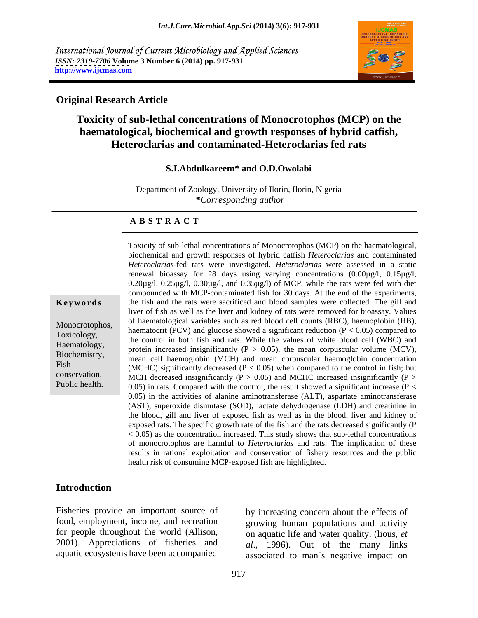International Journal of Current Microbiology and Applied Sciences *ISSN: 2319-7706* **Volume 3 Number 6 (2014) pp. 917-931 <http://www.ijcmas.com>**



### **Original Research Article**

# **Toxicity of sub-lethal concentrations of Monocrotophos (MCP) on the haematological, biochemical and growth responses of hybrid catfish, Heteroclarias and contaminated-Heteroclarias fed rats**

### **S.I.Abdulkareem\* and O.D.Owolabi**

Department of Zoology, University of Ilorin, Ilorin, Nigeria *\*Corresponding author* 

### **A B S T R A C T**

**Keywords** the fish and the rats were sacrificed and blood samples were collected. The gill and Monocrotophos,<br>
haematocrit (PCV) and glucose showed a significant reduction (P < 0.05) compared to<br>
Toxicology Toxicology,<br>
the control in both fish and rats. While the values of white blood cell (WBC) and<br>
The values of white blood cell (WBC) and Haematology, the comot in bour list and rais. While the values of while blood cent (WBC) and protein increased insignificantly ( $P > 0.05$ ), the mean corpuscular volume (MCV), Biochemistry, mean cell haemoglobin (MCH) and mean corpuscular haemoglobin concentration Fish  $(MCHC)$  significantly decreased  $(P < 0.05)$  when compared to the control in fish; but conservation, MCH decreased insignificantly  $(P > 0.05)$  and MCHC increased insignificantly  $(P > 0.05)$ Public health.  $0.05$  in rats. Compared with the control, the result showed a significant increase (P < Toxicity of sub-lethal concentrations of Monocrotophos (MCP) on the haematological, biochemical and growth responses of hybrid catfish *Heteroclarias* and contaminated *Heteroclarias*-fed rats were investigated. *Heteroclarias* were assessed in a static renewal bioassay for 28 days using varying concentrations (0.00µg/l, 0.15µg/l, 0.20µg/l, 0.25µg/l, 0.30µg/l, and 0.35µg/l) of MCP, while the rats were fed with diet compounded with MCP-contaminated fish for 30 days. At the end of the experiments, liver of fish as well as the liver and kidney of rats were removed for bioassay. Values of haematological variables such as red blood cell counts (RBC), haemoglobin (HB), 0.05) in the activities of alanine aminotransferase (ALT), aspartate aminotransferase (AST), superoxide dismutase (SOD), lactate dehydrogenase (LDH) and creatinine in the blood, gill and liver of exposed fish as well as in the blood, liver and kidney of exposed rats. The specific growth rate of the fish and the rats decreased significantly (P  $< 0.05$ ) as the concentration increased. This study shows that sub-lethal concentrations of monocrotophos are harmful to *Heteroclarias* and rats. The implication of these results in rational exploitation and conservation of fishery resources and the public health risk of consuming MCP-exposed fish are highlighted.

### **Introduction**

Fisheries provide an important source of by increasing concern about the effects of 2001). Appreciations of fisheries and Fisheries provide an important source of by increasing concern about the effects of food, employment, income, and recreation growing human populations and activity on aquatic life and water quality. (lious, *et* 2001). Ap

food, employment, income, and recreation growing human populations and activity for people throughout the world (Allison, on aquatic life and water quality. (lious, *et al*., 1996). Out of the many links associated to man`s negative impact on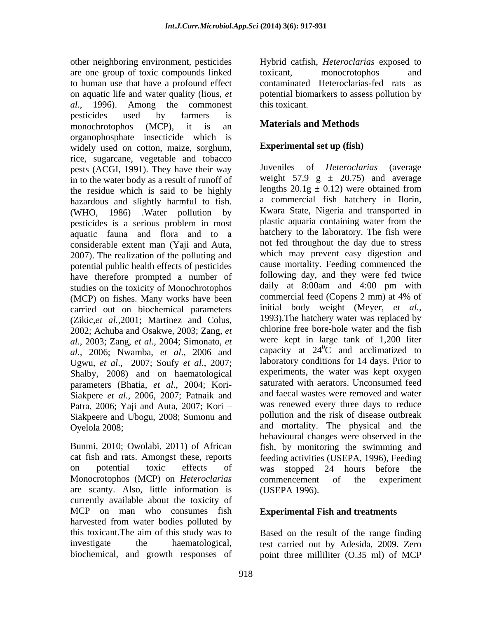other neighboring environment, pesticides Hybrid catfish, *Heteroclarias* exposed to are one group of toxic compounds linked to human use that have a profound effect on aquatic life and water quality (lious, *et* potential biomarkers to assess pollution by *al*., 1996). Among the commonest pesticides used by farmers is monochrotophos (MCP), it is an **Materials and Methods** organophosphate insecticide which is widely used on cotton, maize, sorghum, rice, sugarcane, vegetable and tobacco<br>nests (ACGI 1991) They have their way luveniles of *Heteroclarias* (average pests (ACGI, 1991). They have their way in to the water body as a result of runoff of the residue which is said to be highly hazardous and slightly harmful to fish. (WHO, 1986) .Water pollution by twara State, Nigeria and transported in nesticides is a serious problem in most plastic aquaria containing water from the pesticides is a serious problem in most aquatic fauna and flora and to a considerable extent man (Yaji and Auta, 2007). The realization of the polluting and potential public health effects of pesticides have therefore prompted a number of following day, and they were fed twice<br>studies on the toxicity of Monochrotophos daily at 8:00am and 4:00 pm with studies on the toxicity of Monochrotophos daily at 8:00am and 4:00 pm with<br>(MCP) on fishes Many works have been commercial feed (Copens 2 mm) at 4% of (MCP) on fishes. Many works have been carried out on biochemical parameters (Zikic,*et al.,*2001; Martinez and Colus, 2002; Achuba and Osakwe, 2003; Zang, *et al*., 2003; Zang, *et al.,* 2004; Simonato, *et al.,* 2006; Nwamba, *et al*., 2006 and Ugwu, *et al*., 2007; Soufy *et al*., 2007; Shalby, 2008) and on haematological parameters (Bhatia, *et al*., 2004; Kori- Siakpere *et al.,* 2006, 2007; Patnaik and Patra, 2006; Yaji and Auta, 2007; Kori Siakpeere and Ubogu, 2008; Sumonu and Oyelola 2008; and mortality. The physical and the

Monocrotophos (MCP) on *Heteroclarias*  are scanty. Also, little information is currently available about the toxicity of MCP on man who consumes fish harvested from water bodies polluted by this toxicant.The aim of this study was to Based on the result of the range finding investigate the haematological, test carried out by Adesida, 2009. Zero

toxicant, monocrotophos and contaminated Heteroclarias-fed rats as this toxicant.

# **Materials and Methods**

# **Experimental set up (fish)**

Bunmi, 2010; Owolabi, 2011) of African fish, by monitoring the swimming and cat fish and rats. Amongst these, reports feeding activities (USEPA, 1996), Feeding on potential toxic effects of was stopped 24 hours before the Juveniles of *Heteroclarias* weight 57.9 g  $\pm$  20.75) and average lengths  $20.1g \pm 0.12$ ) were obtained from a commercial fish hatchery in Ilorin, Kwara State, Nigeria and transported in plastic aquaria containing water from the hatchery to the laboratory. The fish were not fed throughout the day due to stress which may prevent easy digestion and cause mortality. Feeding commenced the following day, and they were fed twice daily at 8:00am and 4:00 pm with commercial feed (Copens 2 mm) at 4% of initial body weight (Meyer, *et al.,* 1993).The hatchery water was replaced by chlorine free bore-hole water and the fish were kept in large tank of 1,200 liter capacity at  $24\degree$ C and acclimatized to  ${}^{0}C$  and acclimatized to laboratory conditions for 14 days. Prior to experiments, the water was kept oxygen saturated with aerators. Unconsumed feed and faecal wastes were removed and water was renewed every three days to reduce pollution and the risk of disease outbreak behavioural changes were observed in the commencement of the experiment (USEPA 1996).

## **Experimental Fish and treatments**

biochemical, and growth responses of point three milliliter (O.35 ml) of MCP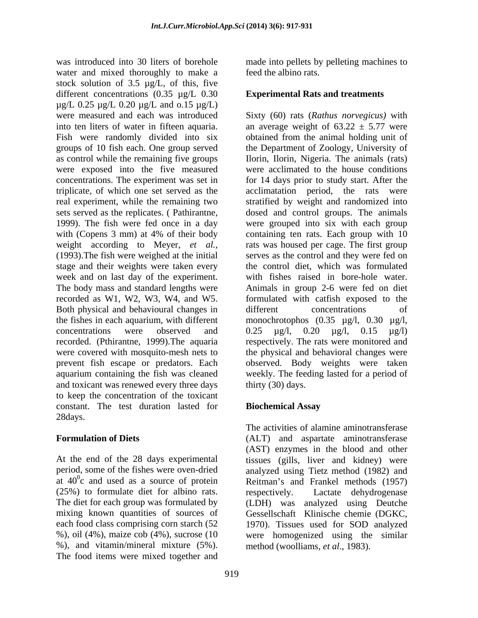was introduced into 30 liters of borehole made into pellets by pelleting machines to water and mixed thoroughly to make a stock solution of 3.5 µg/L, of this, five different concentrations (0.35 µg/L 0.30  $\mu$ g/L 0.25  $\mu$ g/L 0.20  $\mu$ g/L and 0.15  $\mu$ g/L) were measured and each was introduced Sixty (60) rats (*Rathus norvegicus)* with into ten liters of water in fifteen aquaria. an average weight of  $63.22 \pm 5.77$  were Fish were randomly divided into six groups of 10 fish each. One group served the Department of Zoology, University of as control while the remaining five groups were exposed into the five measured concentrations. The experiment was set in for 14 days prior to study start. After the triplicate, of which one set served as the acclimatation period, the rats were real experiment, while the remaining two stratified by weight and randomized into sets served as the replicates. ( Pathirantne, dosed and control groups. The animals 1999). The fish were fed once in a day were grouped into six with each group with (Copens 3 mm) at 4% of their body containing ten rats. Each group with 10 weight according to Meyer, *et al.,* rats was housed per cage. The first group (1993).The fish were weighed at the initial stage and their weights were taken every week and on last day of the experiment. The body mass and standard lengths were Animals in group 2-6 were fed on diet recorded as W1, W2, W3, W4, and W5. formulated with catfish exposed to the Both physical and behavioural changes in different concentrations of the fishes in each aquarium, with different monochrotophos (0.35 µg/l, 0.30 µg/l, concentrations were observed and  $0.25 \text{ µg/l}, 0.20 \text{ µg/l}, 0.15 \text{ µg/l}$ recorded. (Pthirantne, 1999).The aquaria respectively. The rats were monitored and were covered with mosquito-mesh nets to the physical and behavioral changes were prevent fish escape or predators. Each aquarium containing the fish was cleaned weekly. The feeding lasted for a period of and toxicant was renewed every three days to keep the concentration of the toxicant constant. The test duration lasted for **Biochemical Assay** 28days.

(25%) to formulate diet for albino rats. each food class comprising corn starch (52 %), and vitamin/mineral mixture (5%). The food items were mixed together and

feed the albino rats.

## **Experimental Rats and treatments**

obtained from the animal holding unit of Ilorin, Ilorin, Nigeria. The animals (rats) were acclimated to the house conditions containing ten rats. Each group with 10 serves as the control and they were fed on the control diet, which was formulated with fishes raised in bore-hole water. different concentrations of 0.25 µg/l, 0.20 µg/l, 0.15 µg/l) observed. Body weights were taken thirty (30) days.

## **Biochemical Assay**

**Formulation of Diets** (ALT) and aspartate aminotransferase At the end of the 28 days experimental tissues (gills, liver and kidney) were period, some of the fishes were oven-dried analyzed using Tietz method (1982) and at  $40^{\circ}$ c and used as a source of protein Reitman's and Frankel methods (1957) The diet for each group was formulated by (LDH) was analyzed using Deutche mixing known quantities of sources of Gessellschaft Klinische chemie (DGKC, %), oil (4%), maize cob (4%), sucrose (10 were homogenized using the similar The activities of alamine aminotransferase (AST) enzymes in the blood and other respectively. Lactate dehydrogenase 1970). Tissues used for SOD analyzed method (woolliams, *et al*., 1983).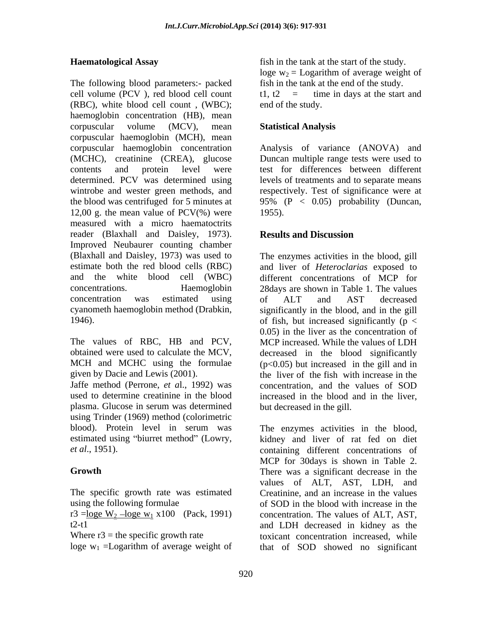The following blood parameters:- packed cell volume (PCV), red blood cell count  $t1, t2 =$  time in days at the start and (RBC), white blood cell count , (WBC); haemoglobin concentration (HB), mean corpuscular volume (MCV), mean **Statistical Analysis** corpuscular haemoglobin (MCH), mean corpuscular haemoglobin concentration Analysis of variance (ANOVA) and (MCHC), creatinine (CREA), glucose contents and protein level were test for differences between different determined. PCV was determined using levels of treatments and to separate means wintrobe and wester green methods, and respectively. Test of significance were at the blood was centrifuged for 5 minutes at  $95\%$  (P  $\lt$  0.05) probability (Duncan, 12,00 g. the mean value of  $PCV(\%)$  were 1955). measured with a micro haematoctrits reader (Blaxhall and Daisley, 1973). **Results and Discussion** Improved Neubaurer counting chamber (Blaxhall and Daisley, 1973) was used to The enzymes activities in the blood, gill estimate both the red blood cells (RBC) and liver of *Heteroclarias* exposed to and the white blood cell (WBC) different concentrations of MCP for concentrations. Haemoglobin 28days are shown in Table 1. The values concentration was estimated using of ALT and AST decreased cyanometh haemoglobin method (Drabkin, significantly in the blood, and in the gill

The values of RBC, HB and PCV, obtained were used to calculate the MCV, decreased in the blood significantly MCH and MCHC using the formulae  $(p<0.05)$  but increased in the gill and in

Jaffe method (Perrone, *et a*l., 1992) was used to determine creatinine in the blood increased in the blood and in the liver, plasma. Glucose in serum was determined using Trinder (1969) method (colorimetric blood). Protein level in serum was The enzymes activities in the blood, estimated using "biurret method" (Lowry, kidney and liver of rat fed on diet

The specific growth rate was estimated using the following formulae of SOD in the blood with increase in the

r3 = loge W<sub>2</sub> - loge w<sub>1</sub> x100 (Pack, 1991)

**Haematological Assay** fish in the tank at the start of the study. loge  $w_2$  = Logarithm of average weight of fish in the tank at the end of the study. t1,  $t2 =$  time in days at the start and end of the study.

## **Statistical Analysis**

Duncan multiple range tests were used to 1955).

# **Results and Discussion**

1946). The of fish, but increased significantly ( $p <$ given by Dacie and Lewis (2001). the liver of the fish with increase in the of ALT and AST decreased 0.05) in the liver as the concentration of MCP increased. While the values of LDH concentration, and the values of SOD but decreased in the gill.

*et al*., 1951). containing different concentrations of **Growth** There was a significant decrease in the t2-t1 and LDH decreased in kidney as the Where  $r3$  = the specific growth rate toxicant concentration increased, while loge  $w_1$  = Logarithm of average weight of that of SOD showed no significant MCP for 30days is shown in Table 2. values of ALT, AST, LDH, and Creatinine, and an increase in the values concentration. The values of ALT, AST,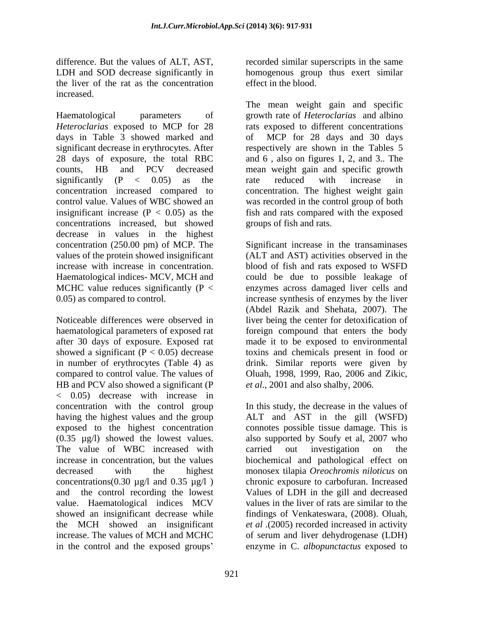difference. But the values of ALT, AST, recorded similar superscripts in the same LDH and SOD decrease significantly in homogenous group thus exert similar the liver of the rat as the concentration increased.

Haematological parameters of growth rate of *Heteroclarias* and albino *Heteroclarias* exposed to MCP for 28 rats exposed to different concentrations days in Table 3 showed marked and significant decrease in erythrocytes. After energies respectively are shown in the Tables 5 28 days of exposure, the total RBC and 6 , also on figures 1, 2, and 3.. The counts, HB and PCV decreased mean weight gain and specific growth significantly  $(P < 0.05)$  as the rate reduced with increase in concentration increased compared to concentration. The highest weight gain control value. Values of WBC showed an was recorded in the control group of both insignificant increase  $(P < 0.05)$  as the fish and rats compared with the exposed concentrations increased, but showed decrease in values in the highest

showed a significant ( $P < 0.05$ ) decrease HB and PCV also showed a significant (P < 0.05) decrease with increase in The value of WBC increased with carried out investigation on the concentrations(0.30  $\mu$ g/l and 0.35  $\mu$ g/l) value. Haematological indices MCV in the control and the exposed groups

effect in the blood.

The mean weight gain and specific MCP for 28 days and 30 days rate reduced with increase in groups of fish and rats.

concentration (250.00 pm) of MCP. The Significant increase in the transaminases values of the protein showed insignificant (ALT and AST) activities observed in the increase with increase in concentration. blood of fish and rats exposed to WSFD Haematological indices- MCV, MCH and could be due to possible leakage of MCHC value reduces significantly  $(P <$  enzymes across damaged liver cells and 0.05) as compared to control. increase synthesis of enzymes by the liver Noticeable differences were observed in liver being the center for detoxification of haematological parameters of exposed rat foreign compound that enters the body after 30 days of exposure. Exposed rat made it to be exposed to environmental in number of erythrocytes (Table 4) as drink. Similar reports were given by compared to control value. The values of Oluah, 1998, 1999, Rao, 2006 and Zikic, (Abdel Razik and Shehata, 2007). The toxins and chemicals present in food or *et al*., 2001 and also shalby, 2006.

concentration with the control group In this study, the decrease in the values of having the highest values and the group ALT and AST in the gill (WSFD) exposed to the highest concentration connotes possible tissue damage. This is (0.35 µg/l) showed the lowest values. also supported by Soufy et al, 2007 who increase in concentration, but the values biochemical and pathological effect on decreased with the highest monosex tilapia *Oreochromis niloticus* on and the control recording the lowest Values of LDH in the gill and decreased showed an insignificant decrease while findings of Venkateswara, (2008). Oluah, the MCH showed an insignificant *et al* .(2005) recorded increased in activity increase. The values of MCH and MCHC of serum and liver dehydrogenase (LDH) carried out investigation on the chronic exposure to carbofuran. Increased values in the liver of rats are similar to the enzyme in C. *albopunctactus* exposed to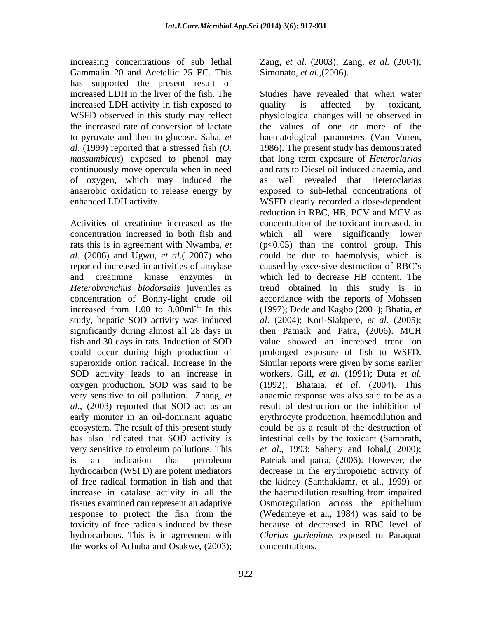increasing concentrations of sub lethal Zang, *et al*. (2003); Zang, *et al.* (2004); Gammalin 20 and Acetellic 25 EC. This has supported the present result of increased LDH activity in fish exposed to quality is affected by toxicant, continuously move opercula when in need of oxygen, which may induced the

concentration increased in both fish and *al*. (2006) and Ugwu, *et al*.( 2007) who increased from  $1.00$  to  $8.00$ ml<sup>-1.</sup> In this oxygen production. SOD was said to be early monitor in an oil-dominant aquatic ecosystem. The result of this present study tissues examined can represent an adaptive hydrocarbons. This is in agreement with the works of Achuba and Osakwe, (2003);

Simonato, *et al.,*(2006).

increased LDH in the liver of the fish. The Studies have revealed that when water WSFD observed in this study may reflect physiological changes will be observed in the increased rate of conversion of lactate the values of one or more of the to pyruvate and then to glucose. Saha, *et* haematological parameters (Van Vuren, *al*. (1999) reported that a stressed fish *(O.*  1986). The present study has demonstrated *massambicus*) exposed to phenol may that long term exposure of *Heteroclarias*  anaerobic oxidation to release energy by exposed to sub-lethal concentrations of enhanced LDH activity. WSFD clearly recorded a dose-dependent Activities of creatinine increased as the concentration of the toxicant increased, in rats this is in agreement with Nwamba, *et* (p<0.05) than the control group. This reported increased in activities of amylase caused by excessive destruction of RBC's and creatinine kinase enzymes in which led to decrease HB content. The *Heterobranchus biodorsalis* juveniles as trend obtained in this study is in concentration of Bonny-light crude oil accordance with the reports of Mohssen study, hepatic SOD activity was induced *al*. (2004); Kori-Siakpere, *etal.* (2005); significantly during almost all 28 days in then Patnaik and Patra, (2006). MCH fish and 30 days in rats. Induction of SOD value showed an increased trend on could occur during high production of prolonged exposure of fish to WSFD. superoxide onion radical. Increase in the Similar reports were given by some earlier SOD activity leads to an increase in workers, Gill, *et al.* (1991); Duta *et al.* very sensitive to oil pollution. Zhang, *et* anaemic response was also said to be asa *al*., (2003) reported that SOD act as an result of destruction or the inhibition of has also indicated that SOD activity is intestinal cells by the toxicant (Samprath, very sensitive to etroleum pollutions. This *et al*., 1993; Saheny and Johal,( 2000); is an indication that petroleum Patriak and patra, (2006). However, the hydrocarbon (WSFD) are potent mediators decrease in the erythropoietic activity of of free radical formation in fish and that the kidney (Santhakiamr, et al., 1999) or increase in catalase activity in all the the haemodilution resulting from impaired response to protect the fish from the (Wedemeye et al., 1984) was said to be toxicity of free radicals induced by these because of decreased in RBC level of quality is affected by toxicant, and rats to Diesel oil induced anaemia, and as well revealed that Heteroclarias reduction in RBC, HB, PCV and MCV as which all were significantly lower could be due to haemolysis, which is (1997); Dede and Kagbo (2001); Bhatia, *et*  (1992); Bhataia, *et al*. (2004). This erythrocyte production, haemodilution and could be as a result of the destruction of Patriak and patra, (2006). However, the Osmoregulation across the epithelium *Clarias gariepinus* exposed to Paraquat concentrations.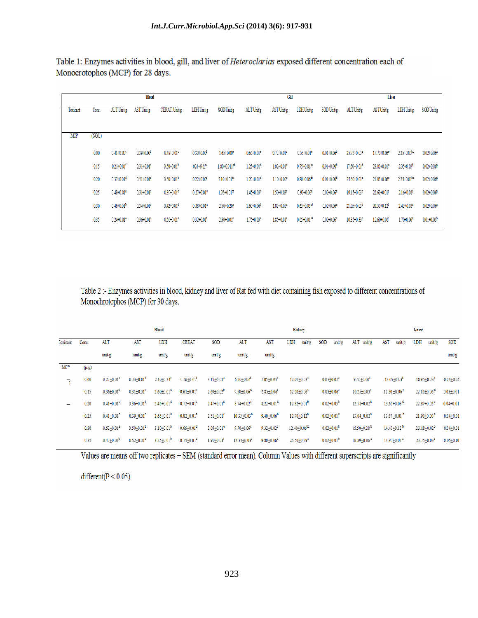Table 1: Enzymes activities in blood, gill, and liver of Heteroclarias exposed different concentration each of Monocrotophos (MCP) for 28 days.

| <b>Blood</b> |       |                            |                 |                 |                 |                             | GШ                    |                            |                             |                 | Liver                   |                             |                            |                            |
|--------------|-------|----------------------------|-----------------|-----------------|-----------------|-----------------------------|-----------------------|----------------------------|-----------------------------|-----------------|-------------------------|-----------------------------|----------------------------|----------------------------|
| Toxicant     | Conc. | ALT Unit/g                 | AST Unit/g      | CERAT. Unit'g   | LDH Unit/g      | <b>SODUnit'g</b>            | ALT Unit/g            | AST Unit/g                 | LDH Unit/g                  | SOD Unit/g      | ALT Unit/g              | <b>ASTUnit/g</b>            | LDH Unit/g                 | <b>SODUnit/g</b>           |
|              |       |                            |                 |                 |                 |                             |                       |                            |                             |                 |                         |                             |                            |                            |
| <b>MP</b>    | (NGL) |                            |                 |                 |                 |                             |                       |                            |                             |                 |                         |                             |                            |                            |
|              | 0.00  | $0.41 + 0.00^{\circ}$      | $0.39 + 0.00b$  | $0.48 + 0.01$ ° | 0.30+0.00       | $1.65 + 0.00$               | $0.65 + 0.01$ °       | $0.72 + 0.01^d$            | $0.55 + 0.01$ °             | $0.01 + 0.06^b$ | 25.75+0.03*             | 17.70+0.06°                 | $2.25 + 0.03$ bc           | $0.02 + 0.06$ <sup>*</sup> |
|              | 0.15  | $0.21 + 0.01$ <sup>f</sup> | $0.31 + 0.01$ ° | $0.50 + 0.01b$  | $024 + 0.01^4$  | $1.80 + 0.011^{\omega}$     | $1.25 + 0.01^d$       | $1.02 + 0.01$ °            | $0.75 + 0.01$ <sup>bc</sup> | $0.01 + 0.00b$  | 17.50+0.01 <sup>d</sup> | $23.02 + 0.01^2$            | $2.35 + 0.03b$             | $0.02 + 0.06$ <sup>*</sup> |
|              | 0.20  | $0.37 + 0.01^d$            | $0.51 + 0.01^a$ | $0.50 + 0.01b$  | 0.22+0.00       | $2.10 + 0.01$ <sup>bc</sup> | $1.20 + 0.01^d$       | $1.10 + 0.00^{\circ}$      | $0.80 + 0.06$ <sup>*</sup>  | $0.01 + 0.00b$  | 25.50+0.01*             | $21.05 + 0.06$ <sup>c</sup> | 2.25+0.01 <sup>bc</sup>    | $0.02 + 0.06^a$            |
|              | 025   | $0.48 + 0.01^a$            | $0.31 + 0.01$ ° | $0.39 + 0.01$ ° | $0.27 + 0.01$ ° | 195+0.01 <sup>cd</sup>      | 1.45+0.03°            | 1.50+0.03 <sup>b</sup>     | $0.90 + 0.06^2$             | $0.02 + 0.06^2$ | 19.15+0.03°             | $22.62 + 0.01$ <sup>b</sup> | $2.16 + 0.01^{\circ}$      | $0.02 + 0.06$              |
|              | 030   | $0.46 + 0.01b$             | $0.34 + 0.01^d$ | $0.42 + 0.01^d$ | $0.38 + 0.01^2$ | 2.50+0.20*                  | $1.60 + 0.06^{\circ}$ | $1.85 + 0.03$ <sup>*</sup> | $0.65 + 0.03$ <sup>cd</sup> | $0.02 + 0.06^2$ | $21.05 + 0.03b$         | 20.50+0.12*                 | $2.45 + 0.03$ <sup>*</sup> | $0.02 + 0.06$ <sup>*</sup> |
|              | 035   | $0.24 + 0.01$ °            | $0.36 + 0.01$ c | $0.56 + 0.01^2$ | $0.32 + 0.01^b$ | 2.30+0.01*                  | 1.75+0.03*            | $1.85 + 0.01^2$            | $0.65 + 0.01^{\omega}$      | $0.02 + 0.06^2$ | 10.35+0.33°             | 12.60+0.06                  | 1.70+0.06 <sup>d</sup>     | $0.01 + 0.06^b$            |

Table 2 :- Enzymes activities in blood, kidney and liver of Rat fed with diet containing fish exposed to different concentrations of Monochrotophos (MCP) for 30 days.

|                 |           |                            |                            | <b>Blood</b>                 |                            |                            |                            |                            | <b>Kidney</b>                 |                            |                               |                                | Liver                         |               |
|-----------------|-----------|----------------------------|----------------------------|------------------------------|----------------------------|----------------------------|----------------------------|----------------------------|-------------------------------|----------------------------|-------------------------------|--------------------------------|-------------------------------|---------------|
| <b>Toxicant</b> | Conc.     | AL T                       | AST                        | LDH                          | <b>CREAT</b>               | SOD                        | ALT                        | AST                        | $\text{unit/g}$<br>LDH        | $\text{unit/g}$<br>SOD     | ALT unit/g                    | <b>AST</b><br>unit/g           | LDH<br>unit/g                 | SOD           |
|                 |           | unit/g                     | unit/g                     | unit/g                       | $\text{unit/g}$            | unit/g                     | unity <sub>g</sub>         | unityg                     |                               |                            |                               |                                |                               | unit/g        |
| $M^{n}$         | $(\mu/g)$ |                            |                            |                              |                            |                            |                            |                            |                               |                            |                               |                                |                               |               |
| ÷.              | 0.00      | $0.27 + 0.01^e$            | $0.23 + 0.01$ <sup>t</sup> | $2.10 + 0.34$ <sup>e</sup>   | $0.56 + 0.01^t$            | $3.15 + 0.01^a$            | $6.50 + 0.06$ <sup>t</sup> | $7.05 + 0.03$ <sup>e</sup> | $12.05 + 0.03^c$              | $0.03 + 0.01^a$            | $9.40 + 0.06^t$               | $12.05 + 0.03$ <sup>t</sup>    | $18.95 + 0.03$ <sup>t</sup>   | $0.04 + 0.06$ |
|                 | 0.15      | $0.36 \pm 0.01^{\circ}$    | $0.31 \pm 0.01^e$          | $2.60 \pm 0.01$ <sup>d</sup> | $0.61 \pm 0.01^e$          | $2.69 \pm 0.02^b$          | $9.50 + 0.06^{\circ}$      | $6.85 + 0.06$              | $12.20 \pm 0.06$ <sup>c</sup> | $0.03 \pm 0.06^a$          | $10.25 \pm 0.03$ <sup>e</sup> | $12.80 \pm 0.06$ <sup>e</sup>  | $22.10 \pm 0.06$ <sup>d</sup> | $0.03 + 0.01$ |
|                 | 0.20      | $0.41 + 0.01$ <sup>c</sup> | $0.36 + 0.01^{\circ}$      | $2.45 \pm 0.01^{\circ}$      | $0.72 + 0.01$ <sup>c</sup> | $2.47 + 0.01^6$            | $8.74 + 0.02^e$            | $8.22 \pm 0.01^{\circ}$    | $12.32 \pm 0.01^{\circ}$      | $0.02 + 0.03^{b}$          | $12.58 + 0.02^d$              | $13.65 \pm 0.03$ <sup>6</sup>  | $22.89 + 0.02$ <sup>c</sup>   | $0.04 + 0.01$ |
|                 | 0.25      | $0.41 + 0.01$ <sup>c</sup> | $0.39 + 0.01^c$            | $2.65 + 0.01^6$              | $0.82 + 0.01^2$            | $2.51 + 0.01$ <sup>c</sup> | $10.35 + 0.03^{b}$         | $9.40 + 0.06^{b}$          | $12.70 + 0.12^b$              | $0.02 + 0.01^{b}$          | $13.04 + 0.02^d$              | 13.37 $\pm$ 0.01 <sup>b</sup>  | $21.90 + 0.00$ <sup>e</sup>   | $0.04 + 0.01$ |
|                 | 0.30      | $0.52 + 0.01^a$            | $0.50 + 0.01^b$            | $3.10 + 0.01^{b}$            | $0.66 + 0.01^{\circ}$      | $2.05 + 0.01^e$            | $9.70 + 0.06$ <sup>c</sup> | $9.32 + 0.02^c$            | $12.40 + 0.06$ <sup>bc</sup>  | $0.02 + 0.01^{b}$          | $15.50 + 0.28$ <sup>b</sup>   | 14.40 $\pm$ 0.12 $^{\text{b}}$ | $23.18 + 0.02^b$              | $0.04 + 0.01$ |
|                 | 0.35      | $0.47 + 0.01^b$            | $0.52 + 0.01^2$            | $3.25 \pm 0.01^{\circ}$      | $0.75 + 0.01^2$            | $1.90 + 0.01^t$            | $12.35 \pm 0.03^a$         | $9.80 + 0.06^a$            | $26.50 + 0.29$ <sup>a</sup>   | $0.02 \pm 0.01^{\text{b}}$ | $16.89 + 0.06$ <sup>a</sup>   | $14.97 \pm 0.01^a$             | $23.75 + 0.03^a$              | $0.05 + 0.01$ |

Values are means off two replicates ± SEM (standard error mean). Column Values with different superscripts are significantly

different( $P < 0.05$ ).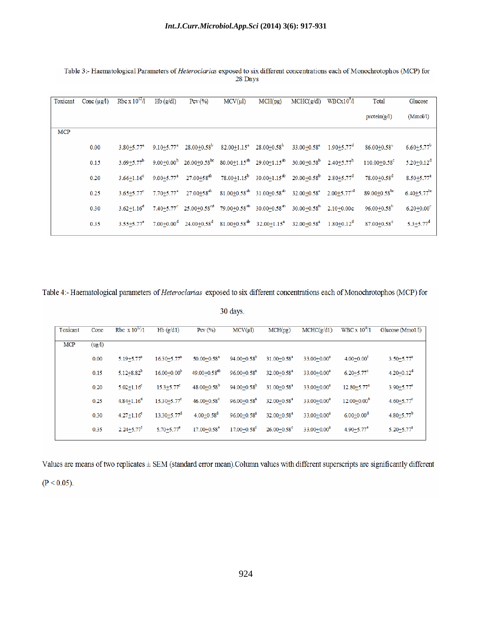| Toxicant   | Conc $(\mu g/l)$ | Rbc x $10^{12}/1$            | Hb(g/dl)                     | Pcv(%)                                                                                                 | $MCV(\mu l)$ | MCH(pg)                                                                                                                                          | MCHC(g/dl)                                | WBCx10 <sup>9</sup> /1 | Total                          | Glucose                       |
|------------|------------------|------------------------------|------------------------------|--------------------------------------------------------------------------------------------------------|--------------|--------------------------------------------------------------------------------------------------------------------------------------------------|-------------------------------------------|------------------------|--------------------------------|-------------------------------|
|            |                  |                              |                              |                                                                                                        |              |                                                                                                                                                  |                                           |                        | protein(g/l)                   | (Mmol/l)                      |
| <b>MCP</b> |                  |                              |                              |                                                                                                        |              |                                                                                                                                                  |                                           |                        |                                |                               |
|            | 0.00             | $3.80 \pm 5.77$ <sup>a</sup> | $9.10 + 5.77^{\circ}$        |                                                                                                        |              | $28.00\pm0.58^{\mathrm{b}}$ $82.00\pm1.15^{\mathrm{a}}$ $28.00\pm0.58^{\mathrm{b}}$                                                              | $33.00 + 0.58^a$ 1.90 + 5.77 <sup>d</sup> |                        | $86.00 + 0.58$ °               | $6.60 \pm 5.77$ <sup>b</sup>  |
|            | 0.15             | $3.69 + 5.77^b$              |                              |                                                                                                        |              | 9.00+0.00 <sup>b</sup> 26.00+0.58 <sup>bc</sup> 80.00+1.15 <sup>ab</sup> 29.00+1.15 <sup>ab</sup> 30.00+0.58 <sup>b</sup> 2.40+5.77 <sup>b</sup> |                                           |                        | $110.00 + 0.58^c$              | $5.20 \pm 0.12^d$             |
|            | 0.20             | $3.66 + 1.16^c$              | $9.00 + 5.77$ <sup>a</sup>   | $27.00 + 58^{ab}$                                                                                      |              | 78.00+1.15 <sup>b</sup> 30.00+1.15 <sup>ab</sup> 29.00+0.58 <sup>b</sup> 2.80+5.77 <sup>d</sup>                                                  |                                           |                        | $78.00 + 0.58$ <sup>d</sup>    | $8.50 + 5.77^a$               |
|            | 0.25             | $3.65 + 5.77$ °              | $7.70 \pm 5.77$ <sup>a</sup> | $27.00 \pm 58^{ab}$                                                                                    |              | $81.00\pm0.58^{ab}$ $31.00\pm0.58^{ab}$ $32.00\pm0.58^{a}$ $2.00\pm5.77^{cd}$                                                                    |                                           |                        | $89.00 \pm 0.58$ <sup>tx</sup> | $6.40 \pm 5.77$ <sup>bc</sup> |
|            | 0.30             | $3.62 + 1.16^{d}$            |                              | $7.40 + 5.77^{\circ}$ 25.00 + 0.58 <sup>cd</sup> 79.00 + 0.58 <sup>ab</sup> 30.00 + 0.58 <sup>ab</sup> |              |                                                                                                                                                  | $30.00 + 0.58^{\circ}$ 2.10+0.00c         |                        | $96.00 + 0.58$ <sup>h</sup>    | $6.20 + 0.00$ <sup>c</sup>    |
|            | 0.35             | $3.55 + 5.77^e$              |                              |                                                                                                        |              | 7.00+0.00 <sup>d</sup> 24.00+0.58 <sup>d</sup> 81.00+0.58 <sup>db</sup> 32.00+1.15 <sup>a</sup> 32.00+0.58 <sup>a</sup> 1.80+0.12 <sup>d</sup>   |                                           |                        | $87.00 + 0.58$ <sup>c</sup>    | $5.3 + 5.77^d$                |

Table 3:- Haematological Parameters of Heteroclarias exposed to six different concentrations each of Monochrotophos (MCP) for 28 Days

Table 4:- Haematological parameters of *Heteroclarias* exposed to six different concentrations each of Monochrotophos (MCP) for

30 days.

| Toxicant   | Conc   | Rbc $\rm x 10^{12}/1$      | $Hb$ ( $g/d1$ )             | Pcv(%)                       | MCV(u)                      | MCH(pg)                     | MCHC(g/d1)       | WBC x $10^{9}/1$           | Glucose ( $Mmo1/l$ )       |
|------------|--------|----------------------------|-----------------------------|------------------------------|-----------------------------|-----------------------------|------------------|----------------------------|----------------------------|
| <b>MCP</b> | (ug/l) |                            |                             |                              |                             |                             |                  |                            |                            |
|            | 0.00   | $5.19 + 5.77^a$            | $16.30 + 5.77^a$            | $50.00 + 0.58$ <sup>a</sup>  | $94.00 + 0.58^b$            | $31.00 + 0.58$ <sup>a</sup> | $33.00 + 0.00^a$ | $4.00 + 0.00t$             | $3.50 + 5.77^a$            |
|            | 0.15   | $5.12 + 8.82^b$            | $16.00 + 0.00^b$            | $49.00 + 0.58$ <sup>ab</sup> | $96.00 + 0.58$ <sup>a</sup> | $32.00 + 0.58^a$            | $33.00 + 0.00^a$ | $6.20 + 5.77$ <sup>c</sup> | $4.20 \pm 0.12^d$          |
|            | 0.20   | $5.02 + 1.16$ <sup>c</sup> | $15.3 + 5.77^c$             | $48.00 \pm 0.58^{\rm b}$     | $94.00 + 0.58$ <sup>b</sup> | $31.00 + 0.58$ <sup>a</sup> | $33.00 + 0.00^a$ | $12.80 + 5.77^a$           | $3.90 + 5.77$ <sup>e</sup> |
|            | 0.25   | $4.84 + 1.16^{\circ}$      | $15.30 + 5.77$ <sup>c</sup> | $46.00 + 0.58$ <sup>c</sup>  | $96.00 + 0.58a$             | $32.00 + 0.58^a$            | $33.00 + 0.00^a$ | $12.00 + 0.00^{b}$         | $4.60 + 5.77$ <sup>c</sup> |
|            | 0.30   | $4.27 + 1.16^e$            | $13.30 + 5.77^d$            | $4.00 + 0.58^d$              | $96.00 + 0.58^a$            | $32.00 + 0.58$ <sup>a</sup> | $33.00 + 0.00^a$ | $6.00 + 0.00^d$            | $4.80 + 5.77$ <sup>b</sup> |
|            | 0.35   | $2.24 + 5.77$ <sup>t</sup> | $5.70 + 5.77$ <sup>e</sup>  | $17.00 + 0.58$ <sup>e</sup>  | $17.00 + 0.58$ <sup>c</sup> | $26.00 + 0.58$ <sup>c</sup> | $33.00 + 0.00^a$ | $4.90 + 5.77$ <sup>e</sup> | $5.20 + 5.77^a$            |

Values are means of two replicates ± SEM (standard error mean). Column values with different superscripts are significantly different

 $(P < 0.05)$ .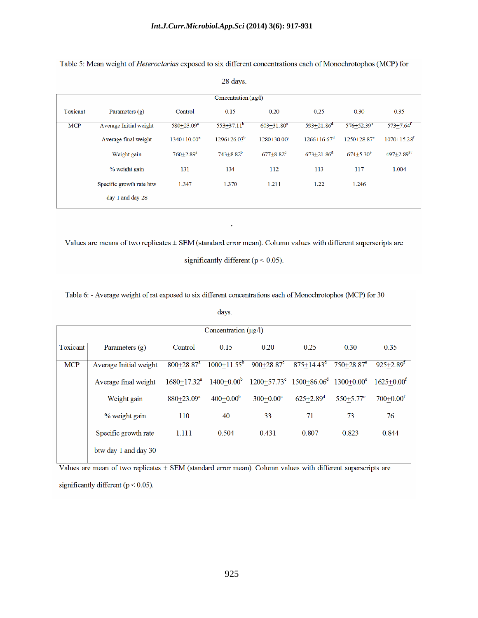|                                             |                          |                           | 28 days.       |                            |                            |                            |                             |  |  |  |  |  |
|---------------------------------------------|--------------------------|---------------------------|----------------|----------------------------|----------------------------|----------------------------|-----------------------------|--|--|--|--|--|
| Concentration $(\mu \mathbf{g}/\mathbf{l})$ |                          |                           |                |                            |                            |                            |                             |  |  |  |  |  |
| Toxicant                                    | Parameters $(g)$         | Control                   | 0.15           | 0.20                       | 0.25                       | 0.30                       | 0.35                        |  |  |  |  |  |
| <b>MCP</b>                                  | Average Initial weight   | $580+23.09^a$             | $553+37.11^b$  | $603 + 31.80$ <sup>c</sup> | $593 + 21.86$ <sup>d</sup> | $576 + 52.39$ <sup>e</sup> | $573 \pm 7.64$ <sup>f</sup> |  |  |  |  |  |
|                                             | Average final weight     | $1340+10.00^a$            | $1296+26.03^b$ | $1280+30.00^{\circ}$       | $1266+16.67^d$             | $1250+28.87$ <sup>e</sup>  | $1070 + 15.28$ <sup>f</sup> |  |  |  |  |  |
|                                             | Weight gain              | $760 + 2.89$ <sup>a</sup> | $743 + 8.82^b$ | $677+8.82^{\circ}$         | $673 + 21.86^d$            | $674+5.30^{\circ}$         | $497 + 2.89$ <sup>87</sup>  |  |  |  |  |  |
|                                             | % weight gain            | 131                       | 134            | 112                        | 113                        | 117                        | 1.004                       |  |  |  |  |  |
|                                             | Specific growth rate btw | 1.347                     | 1.370          | 1.211                      | 1.22                       | 1.246                      |                             |  |  |  |  |  |
|                                             | day 1 and day 28         |                           |                |                            |                            |                            |                             |  |  |  |  |  |

Table 5: Mean weight of *Heteroclarias* exposed to six different concentrations each of Monochrotophos (MCP) for

Values are means of two replicates ± SEM (standard error mean). Column values with different superscripts are

.

significantly different ( $p < 0.05$ ).

Table 6: - Average weight of rat exposed to six different concentrations each of Monochrotophos (MCP) for 30

days.

|            | Concentration $(\mu g/l)$ |                            |                |                                                                     |                           |                            |                           |  |  |  |  |  |
|------------|---------------------------|----------------------------|----------------|---------------------------------------------------------------------|---------------------------|----------------------------|---------------------------|--|--|--|--|--|
| Toxicant   | Parameters $(g)$          | 0.30                       | 0.35           |                                                                     |                           |                            |                           |  |  |  |  |  |
| <b>MCP</b> | Average Initial weight    | $800 + 28.87$ <sup>a</sup> | $1000+11.55^b$ | $900+28.87$ <sup>c</sup>                                            | $875 + 14.43^d$           | $750 + 28.87$ <sup>e</sup> | $925 + 2.89$ <sup>f</sup> |  |  |  |  |  |
|            | Average final weight      | $1680+17.32^a$             | $1400+0.00^b$  | $1200+57.73^{\circ}$ 1500+86.06 <sup>d</sup> 1300+0.00 <sup>e</sup> |                           |                            | $1625+0.00^t$             |  |  |  |  |  |
|            | Weight gain               | 880+23.09 <sup>a</sup>     | $400+0.00b$    | $300+0.00^{\circ}$                                                  | $625 + 2.89$ <sup>d</sup> | $550+5.77$ <sup>e</sup>    | $700+0.00$ <sup>f</sup>   |  |  |  |  |  |
|            | % weight gain             | 110                        | 40             | 33                                                                  | 71                        | 73                         | 76                        |  |  |  |  |  |
|            | Specific growth rate      | 1.111                      | 0.504          | 0.431                                                               | 0.807                     | 0.823                      | 0.844                     |  |  |  |  |  |
|            | btw day 1 and day 30      |                            |                |                                                                     |                           |                            |                           |  |  |  |  |  |

Values are mean of two replicates  $\pm$  SEM (standard error mean). Column values with different superscripts are significantly different ( $p < 0.05$ ).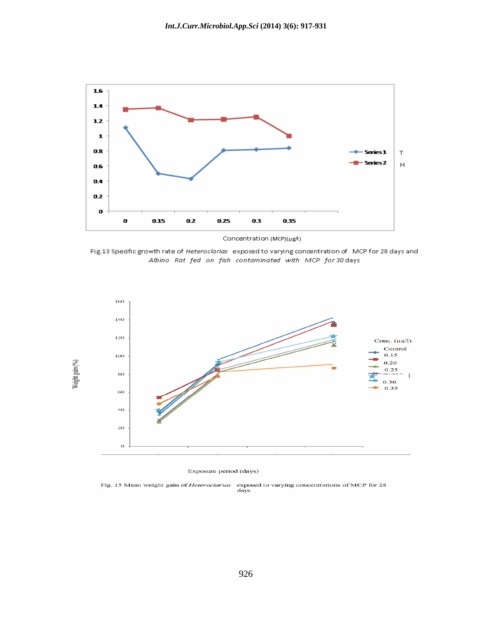

Fig.13 Spedfic growth rate of Heteroclarias exposed to varying concentration of MCP for 28 days and Albino Rat fed on fish contaminated with MCP for 30 days



Exposure period (days)

Fig. 15 Mean weight gain of *Heteroclarias* exposed to varying concentrations of MCP for 28 days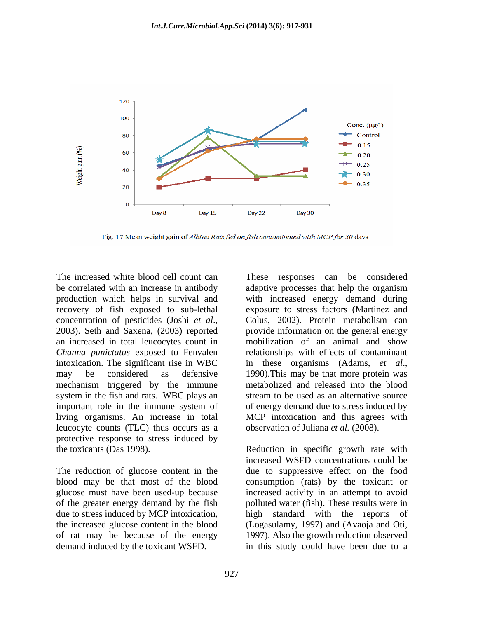

Fig. 17 Mean weight gain of Albino Rats fed on fish contaminated with MCP for 30 days

be correlated with an increase in antibody adaptive processes that help the organism an increased in total leucocytes count in a mobilization of an animal and show intoxication. The significant rise in WBC in these organisms (Adams, et al., may be considered as defensive 1990). This may be that more protein was mechanism triggered by the immune system in the fish and rats. WBC plays an important role in the immune system of leucocyte counts (TLC) thus occurs as a protective response to stress induced by the toxicants (Das 1998). Reduction in specific growth rate with

due to stress induced by MCP intoxication,

The increased white blood cell count can These responses can be considered production which helps in survival and with increased energy demand during recovery of fish exposed to sub-lethal exposure to stress factors (Martinez and concentration of pesticides (Joshi *et al.*, Colus, 2002). Protein metabolism can<br>2003). Seth and Saxena, (2003) reported provide information on the general energy *Channa punictatus* exposed to Fenvalen relationships with effects of contaminant living organisms. An increase in total MCP intoxication and this agrees with adaptive processes that help the organism Colus, 2002). Protein metabolism can provide information on the general energy mobilization of an animal and show in these organisms (Adams, *et al.*, 1990). This may be that more protein was metabolized and released into the blood stream to be used as an alternative source of energy demand due to stress induced by observation of Juliana *et al.* (2008).

The reduction of glucose content in the due to suppressive effect on the food blood may be that most of the blood consumption (rats) by the toxicant or glucose must have been used-up because increased activity in an attempt to avoid of the greater energy demand by the fish polluted water (fish). These results were in the increased glucose content in the blood (Logasulamy, 1997) and (Avaoja and Oti, of rat may be because of the energy 1997). Also the growth reduction observed demand induced by the toxicant WSFD. in this study could have been due to aincreased WSFD concentrations could be high standard with the reports of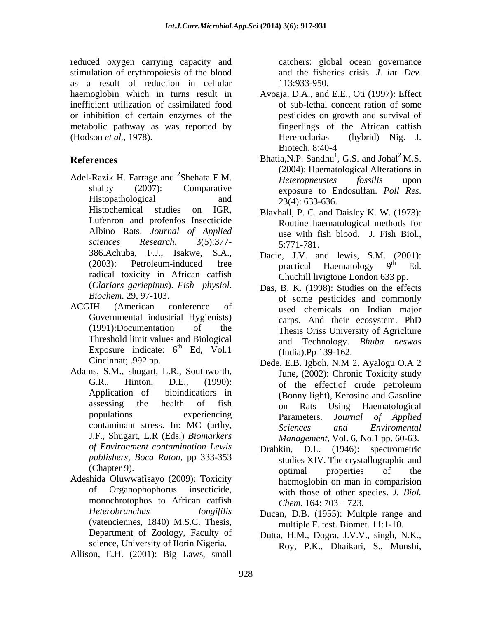reduced oxygen carrying capacity and stimulation of erythropoiesis of the blood as a result of reduction in cellular inefficient utilization of assimilated food or inhibition of certain enzymes of the metabolic pathway as was reported by (Hodson *et al.,* 1978).

- Histopathological and  $23(4)$ : 633-636.<br>Histochemical studies on IGR, Blaxhall P C and Daisley K W (1973). Albino Rats. *Journal of Applied*  (2003): Petroleum-induced free practical Haematology<br>radical toxicity in African catfish (Chuchill liviotone London
- Threshold limit values and Biological Exposure indicate:  $6^{th}$  Ed, Vol.1
- Adams, S.M., shugart, L.R., Southworth, J.F., Shugart, L.R (Eds.) *Biomarkers of Environment contamination Lewis publishers, Boca Raton*, pp 333-353
- Adeshida Oluwwafisayo (2009): Toxicity monochrotophos to African catfish (vatenciennes, 1840) M.S.C. Thesis, Department of Zoology, Faculty of science, University of Ilorin Nigeria.

Allison, E.H. (2001): Big Laws, small

catchers: global ocean governance and the fisheries crisis. *J. int. Dev.* 113:933-950.

- haemoglobin which in turns result in Avoaja, D.A., and E.E., Oti (1997): Effect of sub-lethal concent ration of some pesticides on growth and survival of fingerlings of the African catfish Hereroclarias (hybrid) Nig. J. Biotech, 8:40-4
- **References** Bhatia, N.P. Sandhu<sup>1</sup>, G.S. and Johal<sup>2</sup> M.S. Adel-Razik H. Farrage and <sup>2</sup>Shehata E.M. *Heteropneustes fossilis* upon  $\alpha$ <sup>2</sup>Shehata E.M. *Heteronneustes fossilis* upon shalby (2007): Comparative exposure to Endosulfan. Poll Res.  $1 \text{ C}$  S and  $\text{I} \text{e} \text{h} \text{e} \text{I}^2 \text{M}$  S , G.S. and  $Johal<sup>2</sup> M.S.$ (2004): Haematological Alterations in *Heteropneustes fossilis* upon exposure to Endosulfan. *Poll Res*. 23(4): 633-636.
	- Lufenron and profenfos Insecticide Routine haematological methods for *sciences Research,* 3(5):377- Blaxhall, P. C. and Daisley K. W. (1973): use with fish blood. J. Fish Biol., 5:771-781.
	- 386.Achuba, F.J., Isakwe, S.A., Dacie, J.V. and lewis, S.M. (2001):  $(2003)$ : Petroleum-induced free  $\frac{1}{2}$  ractical Haematology 9<sup>th</sup> Ed. practical Haematology 9<sup>th</sup> Ed. th Ed. Chuchill livigtone London 633 pp.
- (*Clariars gariepinus*). *Fish physiol.* Das, B. K. (1998): Studies on the effects *Biochem*. 29, 97-103. of some pesticides and commonly ACGIH (American conference of sused chemicals on Indian major Governmental industrial Hygienists) carps. And their ecosystem. PhD (1991):Documentation of the Thesis Oriss University of Agriclture th Ed, Vol.1 (India) Pp  $139-162$ used chemicals on Indian major carps. And their ecosystem. PhD and Technology. *Bhuba neswas* (India).Pp 139-162.
	- Cincinnat; .992 pp. Dede, E.B. Igboh, N.M 2. Ayalogu O.A 2 G.R., Hinton, D.E., (1990): of the effect of crude petroleum Application of bioindicatiors in (Bonny light), Kerosine and Gasoline assessing the health of fish  $\overrightarrow{on}$  Rats Using Haematological populations experiencing parameters. Journal of Applied contaminant stress. In: MC (arthy, Sciences and Environmental June, (2002): Chronic Toxicity study of the effect.of crude petroleum on Rats Using Haematological Parameters. *Journal of Applied Sciences and Enviromental Management,* Vol. 6, No.1 pp. 60-63.
	- (Chapter 9). continuing optimal properties of the of Organophophorus insecticide, with those of other species. *J. Biol.* Drabkin, D.L. (1946): spectrometric studies XIV. The crystallographic and optimal properties of the haemoglobin on man in comparision *Chem.* 164: 703 – 723.
	- *Heterobranchus longifilis*  Ducan, D.B. (1955): Multple range and multiple F. test. Biomet. 11:1-10.
		- Dutta, H.M., Dogra, J.V.V., singh, N.K., Roy, P.K., Dhaikari, S., Munshi,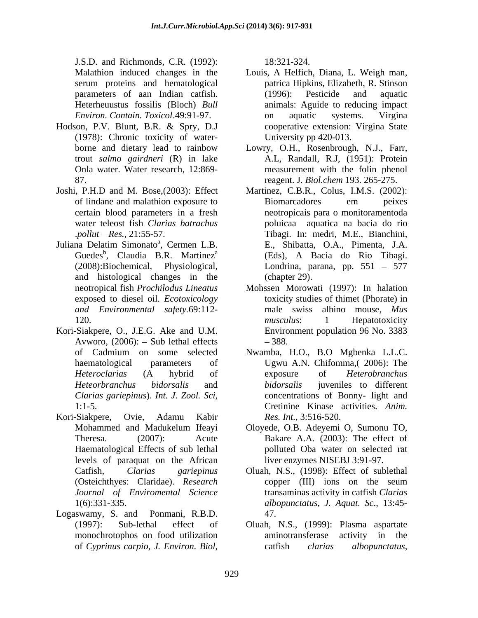J.S.D. and Richmonds, C.R. (1992):

- Hodson, P.V. Blunt, B.R. & Spry, D.J (1978): Chronic toxicity of water-
- Joshi, P.H.D and M. Bose,(2003): Effect Martinez, C.B.R., Colus, I.M.S. (2002):
- Juliana Delatim Simonato<sup>a</sup>, Cermen L.B. Guedes<sup>b</sup>, Claudia B.R. Martinez<sup>a</sup> and histological changes in the
- Kori-Siakpere, O., J.E.G. Ake and U.M. Avworo,  $(2006)$ :  $-$  Sub lethal effects  $-388$ . *Clarias gariepinus*). *Int. J. Zool. Sci,*
- Kori-Siakpere, Ovie, Adamu Kabir *Res. Int.*, 3:516-520. levels of paraquat on the African *Journal of Enviromental Science*
- Logaswamy, S. and Ponmani, R.B.D.

18:321-324.

- Malathion induced changes in the Louis, A Helfich, Diana, L. Weigh man, serum proteins and hematological patrica Hipkins, Elizabeth, R. Stinson parameters of aan Indian catfish. (1996): Pesticide and aquatic Heterheuustus fossilis (Bloch) *Bull*  animals: Aguide to reducing impact *Environ. Contain. Toxicol*.49:91-97. (1996): Pesticide and aquatic on aquatic systems. Virgina cooperative extension: Virgina State University pp 420-013.
- borne and dietary lead to rainbow Lowry, O.H., Rosenbrough, N.J., Farr, trout *salmo gairdneri* (R) in lake A.L, Randall, R.J, (1951): Protein Onla water. Water research, 12:869- measurement with the folin phenol 87. reagent. J. *Biol.chem* 193. 265-275.
- of lindane and malathion exposure to certain blood parameters in a fresh neotropicais para o monitoramentoda water teleost fish *Clarias batrachus* poluicaa aquatica na bacia do rio .*pollut Res.,* 21:55-57. Tibagi. In: medri, M.E., Bianchini, <sup>a</sup>, Cermen L.B. E., Shibatta, O.A., Pimenta, J.A. , Claudia B.R. Martinez a (Eds), A Bacia do Rio Tibagi. (2008):Biochemical, Physiological, Londrina, parana, pp. 551 – 577 Biomarcadores em peixes (chapter 29).
- neotropical fish *Prochilodus Lineatus* Mohssen Morowati (1997): In halation exposed to diesel oil. *Ecotoxicology*  toxicity studies of thimet (Phorate) in *and Environmental safety.*69:112- male swiss albino mouse, *Mus* 120. **musculus**: 1 Hepatotoxicity *musculus*: 1 Hepatotoxicity Environment population 96 No. 3383 388.
- of Cadmium on some selected Nwamba, H.O., B.O Mgbenka L.L.C. haematological parameters of Ugwu A.N. Chifomma,( 2006): The *Heteroclarias* (A hybrid of *Heteorbranchus bidorsalis* and 1:1-5. Cretinine Kinase activities. *Anim.* exposure of *Heterobranchus bidorsalis* juveniles to different concentrations of Bonny- light and *Res. Int.*, 3:516-520.
- Mohammed and Madukelum Ifeayi Oloyede, O.B. Adeyemi O, Sumonu TO, Theresa. (2007): Acute Bakare A.A. (2003): The effect of Haematological Effects of sub lethal polluted Oba water on selected rat liver enzymes NISEBJ 3:91-97.
- Catfish, *Clarias gariepinus* Oluah, N.S., (1998): Effect of sublethal (Osteichthyes: Claridae). *Research*  1(6):331-335. *albopunctatus*, *J. Aquat. Sc*., 13:45 copper (III) ions on the seum transaminas activity in catfish *Clarias* 47.
- (1997): Sub-lethal effect of Oluah, N.S., (1999): Plasma aspartate monochrotophos on food utilization of *Cyprinus carpio*, *J. Environ. Biol*, aminotransferase activity in catfish *clarias albopunctatus*,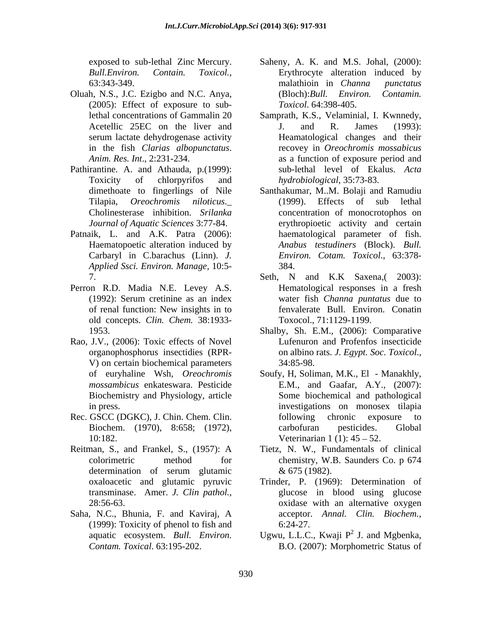- Oluah, N.S., J.C. Ezigbo and N.C. Anya, (2005): Effect of exposure to sub-
- Pathirantine. A. and Athauda, p.(1999):
- Patnaik, L. and A.K. Patra (2006): Haematopoetic alteration induced by Carbaryl in C.barachus (Linn). *J. Applied Ssci. Environ. Manage,* 10:5-
- Perron R.D. Madia N.E. Levey A.S. old concepts. *Clin. Chem.* 38:1933-
- Rao, J.V., (2006): Toxic effects of Novel V) on certain biochemical parameters 34:85-98. Biochemistry and Physiology, article
- Rec. GSCC (DGKC), J. Chin. Chem. Clin. following chronic exposure to
- 
- Saha, N.C., Bhunia, F. and Kaviraj, A (1999): Toxicity of phenol to fish and
- exposed to sub-lethal Zinc Mercury. Saheny, A. K. and M.S. Johal, (2000): *Bull.Environ. Contain. Toxicol.,* Erythrocyte alteration induced by 63:343-349. malathioin in *Channa punctatus* (Bloch):*Bull. Environ. Contamin. Toxicol*. 64:398-405.
- lethal concentrations of Gammalin 20 Samprath, K.S., Velaminial, I. Kwnnedy, Acetellic 25EC on the liver and I. and R. James (1993): serum lactate dehydrogenase activity Heamatological changes and their in the fish *Clarias albopunctatus*. recovey in *Oreochromis mossabicus Anim. Res. Int*., 2:231-234. as a function of exposure period and Toxicity of chlorpyrifos and *hydrobiological*, 35:73-83. J. and R. James (1993): sub-lethal level of Ekalus. *Acta hydrobiological*, 35:73-83.
- dimethoate to fingerlings of Nile Santhakumar, M..M. Bolaji and Ramudiu Tilapia, *Oreochromis niloticus*.\_ Cholinesterase inhibition. *Srilanka Journal of Aquatic Sciences* 3:77-84. erythropioetic activity and certain (1999). Effects of sub lethal concentration of monocrotophos on haematological parameter of fish. *Anabus testudiners* (Block). *Bull. Environ. Cotam. Toxicol*., 63:378- 384.
- 7. Seth, N and K.K Saxena,( 2003): (1992): Serum cretinine as an index water fish *Channa puntatus* due to of renal function: New insights in to fenvalerate Bull. Environ. Conatin Hematological responses in a fresh water fish *Channa puntatus* due to Toxocol., 71:1129-1199.
- 1953. Shalby, Sh. E.M., (2006): Comparative organophosphorus insectidies (RPR- on albino rats. *J. Egypt. Soc. Toxicol.*, V) on certain biochemical parameters 34:85-98. Lufenuron and Profenfos insecticide
- of euryhaline Wsh, *Oreochromis*  Soufy, H, Soliman, M.K., El Manakhly, *mossambicus* enkateswara. Pesticide E.M., and Gaafar, A.Y., (2007): in press. investigations on monosex tilapia Biochem. (1970), 8:658; (1972), 10:182. Veterinarian 1 (1): 45 – 52. Some biochemical and pathological following chronic exposure to carbofuran pesticides. Global
- Reitman, S., and Frankel, S., (1957): A Tietz, N. W., Fundamentals of clinical colorimetric method for chemistry, W.B. Saunders Co. p 674 determination of serum glutamic  $\&$  675 (1982). & 675 (1982).
	- oxaloacetic and glutamic pyruvic Trinder, P. (1969): Determination of transminase. Amer. *J. Clin pathol.,* glucose in blood using glucose 28:56-63. oxidase with an alternative oxygen acceptor. *Annal. Clin. Biochem.,* 6:24-27.
	- aquatic ecosystem. *Bull. Environ.* Ugwu, L.L.C., Kwaji P<sup>2</sup> J. and Mgbenka, *Contam. Toxical*. 63:195-202. B.O. (2007): Morphometric Status of $^2$  I and Mahanka J. and Mgbenka,